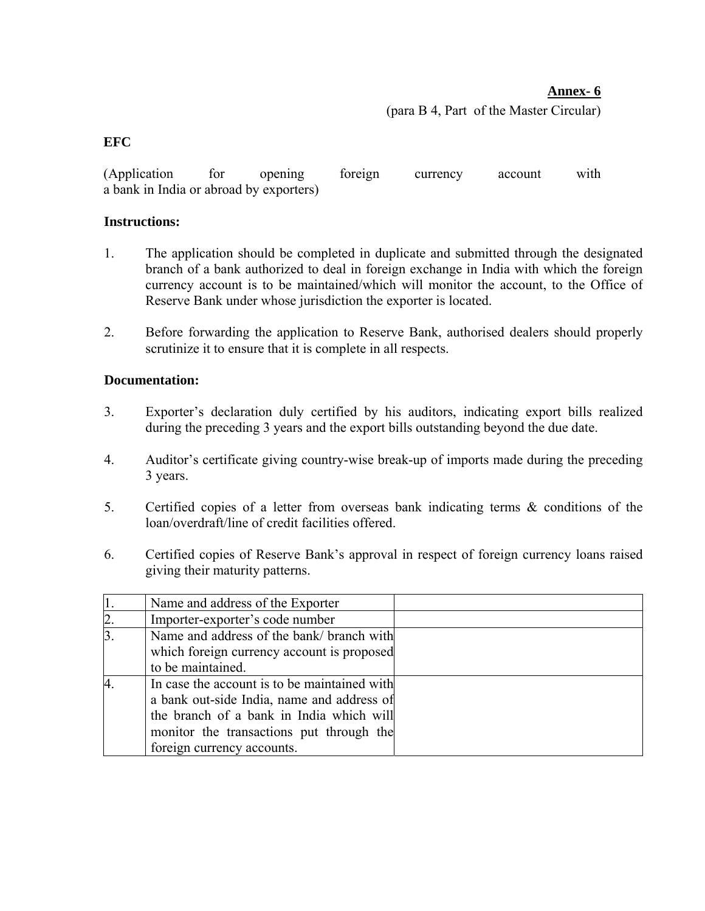## **Annex- 6**

(para B 4, Part of the Master Circular)

## **EFC**

(Application for opening foreign currency account with a bank in India or abroad by exporters)

## **Instructions:**

- 1. The application should be completed in duplicate and submitted through the designated branch of a bank authorized to deal in foreign exchange in India with which the foreign currency account is to be maintained/which will monitor the account, to the Office of Reserve Bank under whose jurisdiction the exporter is located.
- 2. Before forwarding the application to Reserve Bank, authorised dealers should properly scrutinize it to ensure that it is complete in all respects.

## **Documentation:**

- 3. Exporter's declaration duly certified by his auditors, indicating export bills realized during the preceding 3 years and the export bills outstanding beyond the due date.
- 4. Auditor's certificate giving country-wise break-up of imports made during the preceding 3 years.
- 5. Certified copies of a letter from overseas bank indicating terms & conditions of the loan/overdraft/line of credit facilities offered.
- 6. Certified copies of Reserve Bank's approval in respect of foreign currency loans raised giving their maturity patterns.

|                | Name and address of the Exporter             |  |
|----------------|----------------------------------------------|--|
| $\overline{2}$ | Importer-exporter's code number              |  |
| $\overline{3}$ | Name and address of the bank/ branch with    |  |
|                | which foreign currency account is proposed   |  |
|                | to be maintained.                            |  |
|                | In case the account is to be maintained with |  |
|                | a bank out-side India, name and address of   |  |
|                | the branch of a bank in India which will     |  |
|                | monitor the transactions put through the     |  |
|                | foreign currency accounts.                   |  |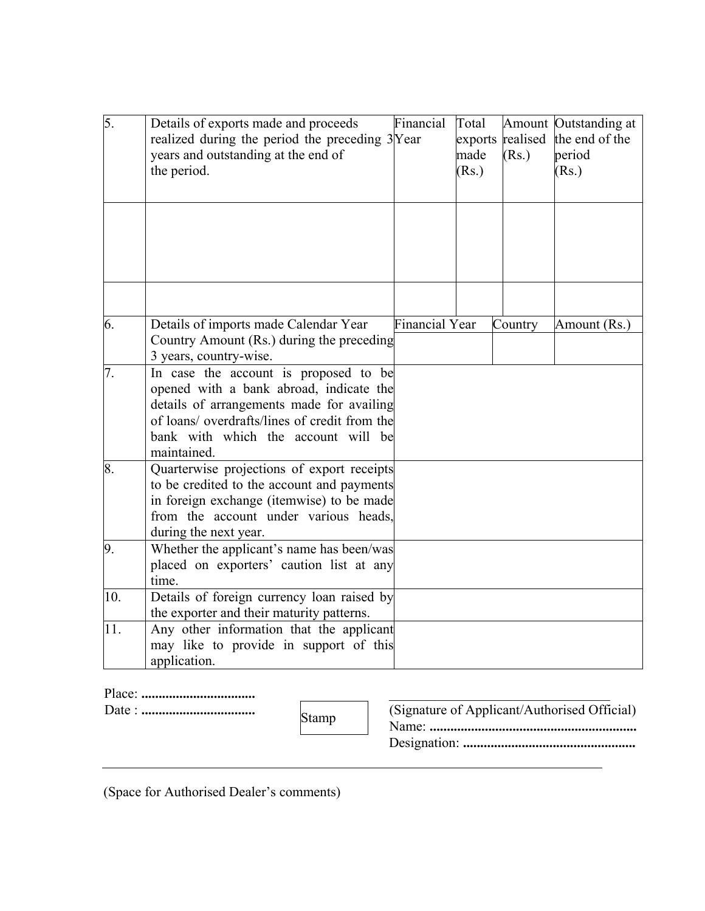| 5.  | Details of exports made and proceeds<br>realized during the period the preceding 3Year<br>years and outstanding at the end of<br>the period.                                                                                         | Financial             | Total<br>made<br>(Rs.) | (Rs.)   | Amount Outstanding at<br>exports realised the end of the<br>period<br>(Rs.) |
|-----|--------------------------------------------------------------------------------------------------------------------------------------------------------------------------------------------------------------------------------------|-----------------------|------------------------|---------|-----------------------------------------------------------------------------|
|     |                                                                                                                                                                                                                                      |                       |                        |         |                                                                             |
| 6.  | Details of imports made Calendar Year<br>Country Amount (Rs.) during the preceding<br>3 years, country-wise.                                                                                                                         | <b>Financial Year</b> |                        | Country | Amount (Rs.)                                                                |
| 7.  | In case the account is proposed to be<br>opened with a bank abroad, indicate the<br>details of arrangements made for availing<br>of loans/ overdrafts/lines of credit from the<br>bank with which the account will be<br>maintained. |                       |                        |         |                                                                             |
| 8.  | Quarterwise projections of export receipts<br>to be credited to the account and payments<br>in foreign exchange (itemwise) to be made<br>from the account under various heads.<br>during the next year.                              |                       |                        |         |                                                                             |
| 9.  | Whether the applicant's name has been/was<br>placed on exporters' caution list at any<br>time.                                                                                                                                       |                       |                        |         |                                                                             |
| 10. | Details of foreign currency loan raised by<br>the exporter and their maturity patterns.                                                                                                                                              |                       |                        |         |                                                                             |
| 11. | Any other information that the applicant<br>may like to provide in support of this<br>application.                                                                                                                                   |                       |                        |         |                                                                             |

| D. |  |
|----|--|
|    |  |

Date : **.................................** (Signature of Applicant/Authorised Official) Stamp Name: **............................................................**

| (Signature of Applicant/Authorised Official) |
|----------------------------------------------|
|                                              |
|                                              |

(Space for Authorised Dealer's comments)